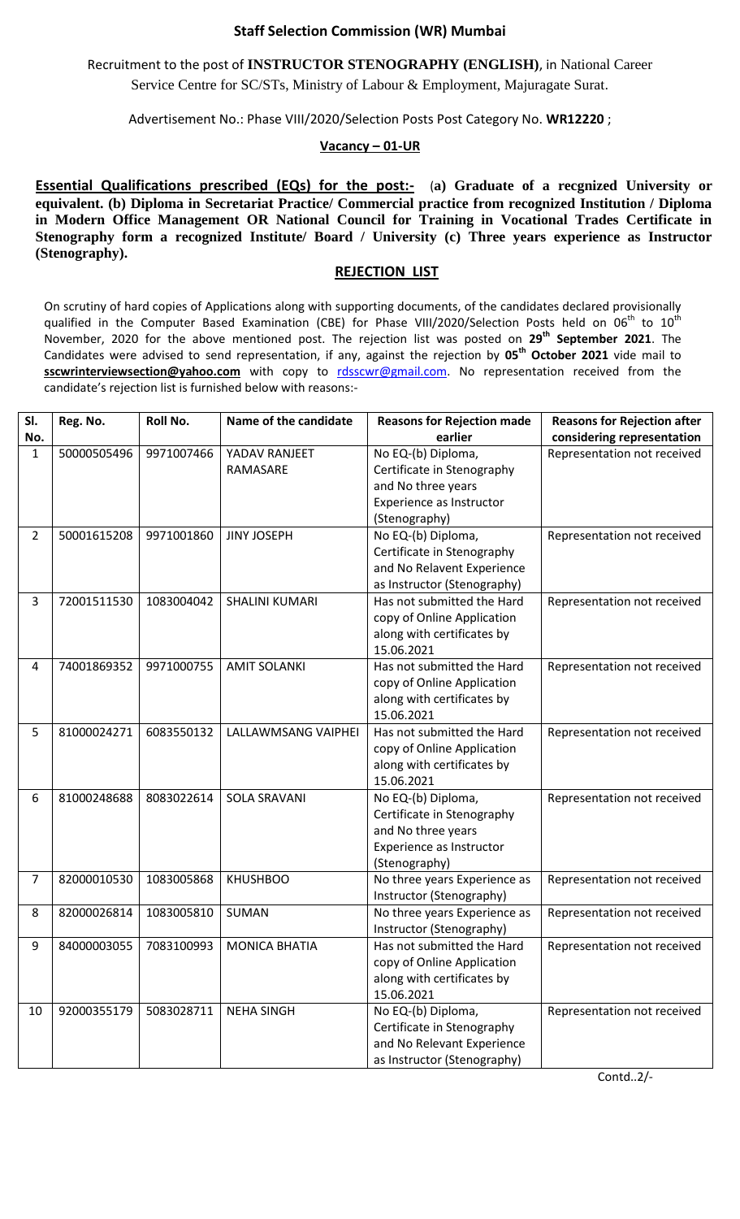## **Staff Selection Commission (WR) Mumbai**

Recruitment to the post of **INSTRUCTOR STENOGRAPHY (ENGLISH)**, in National Career Service Centre for SC/STs, Ministry of Labour & Employment, Majuragate Surat.

Advertisement No.: Phase VIII/2020/Selection Posts Post Category No. **WR12220** ;

## **Vacancy – 01-UR**

**Essential Qualifications prescribed (EQs) for the post:-** (a) Graduate of a recgnized University or **equivalent. (b) Diploma in Secretariat Practice/ Commercial practice from recognized Institution / Diploma in Modern Office Management OR National Council for Training in Vocational Trades Certificate in Stenography form a recognized Institute/ Board / University (c) Three years experience as Instructor (Stenography).**

## **REJECTION LIST**

On scrutiny of hard copies of Applications along with supporting documents, of the candidates declared provisionally qualified in the Computer Based Examination (CBE) for Phase VIII/2020/Selection Posts held on 06<sup>th</sup> to 10<sup>th</sup> November, 2020 for the above mentioned post. The rejection list was posted on **29 th September 2021**. The Candidates were advised to send representation, if any, against the rejection by **05th October 2021** vide mail to sscwrinterviewsection@yahoo.com with copy to [rdsscwr@gmail.com.](mailto:rdsscwr@gmail.com) No representation received from the candidate's rejection list is furnished below with reasons:-

| SI.            | Reg. No.    | Roll No.   | Name of the candidate | <b>Reasons for Rejection made</b> | <b>Reasons for Rejection after</b> |
|----------------|-------------|------------|-----------------------|-----------------------------------|------------------------------------|
| No.            |             |            |                       | earlier                           | considering representation         |
| $\mathbf{1}$   | 50000505496 | 9971007466 | YADAV RANJEET         | No EQ-(b) Diploma,                | Representation not received        |
|                |             |            | RAMASARE              | Certificate in Stenography        |                                    |
|                |             |            |                       | and No three years                |                                    |
|                |             |            |                       | Experience as Instructor          |                                    |
|                |             |            |                       | (Stenography)                     |                                    |
| $\overline{2}$ | 50001615208 | 9971001860 | <b>JINY JOSEPH</b>    | No EQ-(b) Diploma,                | Representation not received        |
|                |             |            |                       | Certificate in Stenography        |                                    |
|                |             |            |                       | and No Relavent Experience        |                                    |
|                |             |            |                       | as Instructor (Stenography)       |                                    |
| 3              | 72001511530 | 1083004042 | <b>SHALINI KUMARI</b> | Has not submitted the Hard        | Representation not received        |
|                |             |            |                       | copy of Online Application        |                                    |
|                |             |            |                       | along with certificates by        |                                    |
|                |             |            |                       | 15.06.2021                        |                                    |
| 4              | 74001869352 | 9971000755 | <b>AMIT SOLANKI</b>   | Has not submitted the Hard        | Representation not received        |
|                |             |            |                       | copy of Online Application        |                                    |
|                |             |            |                       | along with certificates by        |                                    |
|                |             |            |                       | 15.06.2021                        |                                    |
| 5              | 81000024271 | 6083550132 | LALLAWMSANG VAIPHEI   | Has not submitted the Hard        | Representation not received        |
|                |             |            |                       | copy of Online Application        |                                    |
|                |             |            |                       | along with certificates by        |                                    |
|                |             |            |                       | 15.06.2021                        |                                    |
| 6              | 81000248688 | 8083022614 | <b>SOLA SRAVANI</b>   | No EQ-(b) Diploma,                | Representation not received        |
|                |             |            |                       | Certificate in Stenography        |                                    |
|                |             |            |                       | and No three years                |                                    |
|                |             |            |                       | Experience as Instructor          |                                    |
|                |             |            |                       | (Stenography)                     |                                    |
| $\overline{7}$ | 82000010530 | 1083005868 | <b>KHUSHBOO</b>       | No three years Experience as      | Representation not received        |
|                |             |            |                       | Instructor (Stenography)          |                                    |
| 8              | 82000026814 | 1083005810 | <b>SUMAN</b>          | No three years Experience as      | Representation not received        |
|                |             |            |                       | Instructor (Stenography)          |                                    |
| 9              | 84000003055 | 7083100993 | <b>MONICA BHATIA</b>  | Has not submitted the Hard        | Representation not received        |
|                |             |            |                       | copy of Online Application        |                                    |
|                |             |            |                       | along with certificates by        |                                    |
|                |             |            |                       | 15.06.2021                        |                                    |
| 10             | 92000355179 | 5083028711 | <b>NEHA SINGH</b>     | No EQ-(b) Diploma,                | Representation not received        |
|                |             |            |                       | Certificate in Stenography        |                                    |
|                |             |            |                       | and No Relevant Experience        |                                    |
|                |             |            |                       | as Instructor (Stenography)       |                                    |

Contd..2/-